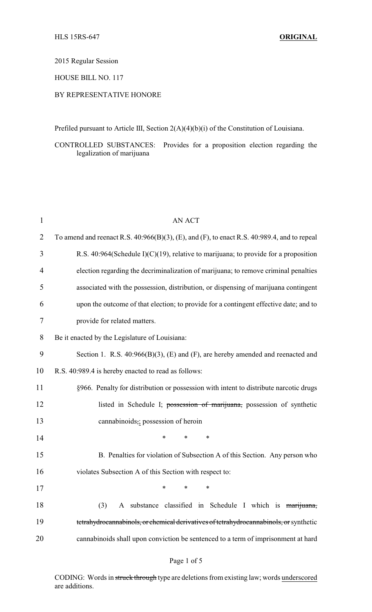### 2015 Regular Session

# HOUSE BILL NO. 117

### BY REPRESENTATIVE HONORE

Prefiled pursuant to Article III, Section 2(A)(4)(b)(i) of the Constitution of Louisiana.

CONTROLLED SUBSTANCES: Provides for a proposition election regarding the legalization of marijuana

| $\mathbf{1}$   | <b>AN ACT</b>                                                                               |  |  |
|----------------|---------------------------------------------------------------------------------------------|--|--|
| $\overline{2}$ | To amend and reenact R.S. 40:966(B)(3), (E), and (F), to enact R.S. 40:989.4, and to repeal |  |  |
| 3              | R.S. 40:964(Schedule I)( $C$ )(19), relative to marijuana; to provide for a proposition     |  |  |
| 4              | election regarding the decriminalization of marijuana; to remove criminal penalties         |  |  |
| 5              | associated with the possession, distribution, or dispensing of marijuana contingent         |  |  |
| 6              | upon the outcome of that election; to provide for a contingent effective date; and to       |  |  |
| 7              | provide for related matters.                                                                |  |  |
| 8              | Be it enacted by the Legislature of Louisiana:                                              |  |  |
| 9              | Section 1. R.S. $40:966(B)(3)$ , (E) and (F), are hereby amended and reenacted and          |  |  |
| 10             | R.S. 40:989.4 is hereby enacted to read as follows:                                         |  |  |
| 11             | §966. Penalty for distribution or possession with intent to distribute narcotic drugs       |  |  |
| 12             | listed in Schedule I; possession of marijuana, possession of synthetic                      |  |  |
| 13             | cannabinoids,; possession of heroin                                                         |  |  |
| 14             | $\ast$<br>*<br>$\ast$                                                                       |  |  |
| 15             | B. Penalties for violation of Subsection A of this Section. Any person who                  |  |  |
| 16             | violates Subsection A of this Section with respect to:                                      |  |  |
| 17             | ∗<br>∗<br>∗                                                                                 |  |  |
| 18             | A substance classified in Schedule I which is marijuana,<br>(3)                             |  |  |
| 19             | tetrahydrocannabinols, or chemical derivatives of tetrahydrocannabinols, or synthetic       |  |  |
| 20             | cannabinoids shall upon conviction be sentenced to a term of imprisonment at hard           |  |  |

### Page 1 of 5

CODING: Words in struck through type are deletions from existing law; words underscored are additions.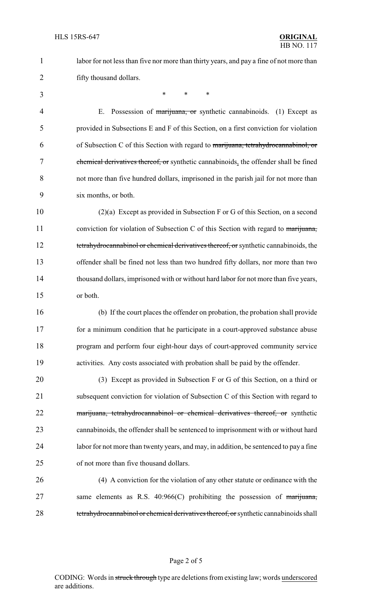labor for not less than five nor more than thirty years, and pay a fine of not more than fifty thousand dollars.

\* \* \*

4 E. Possession of marijuana, or synthetic cannabinoids. (1) Except as provided in Subsections E and F of this Section, on a first conviction for violation of Subsection C of this Section with regard to marijuana, tetrahydrocannabinol, or chemical derivatives thereof, or synthetic cannabinoids, the offender shall be fined not more than five hundred dollars, imprisoned in the parish jail for not more than six months, or both.

 (2)(a) Except as provided in Subsection F or G of this Section, on a second 11 conviction for violation of Subsection C of this Section with regard to marijuana, 12 tetrahydrocannabinol or chemical derivatives thereof, or synthetic cannabinoids, the offender shall be fined not less than two hundred fifty dollars, nor more than two thousand dollars, imprisoned with or without hard labor for not more than five years, or both.

 (b) If the court places the offender on probation, the probation shall provide for a minimum condition that he participate in a court-approved substance abuse program and perform four eight-hour days of court-approved community service activities. Any costs associated with probation shall be paid by the offender.

 (3) Except as provided in Subsection F or G of this Section, on a third or subsequent conviction for violation of Subsection C of this Section with regard to 22 marijuana, tetrahydrocannabinol or chemical derivatives thereof, or synthetic cannabinoids, the offender shall be sentenced to imprisonment with or without hard labor for not more than twenty years, and may, in addition, be sentenced to pay a fine of not more than five thousand dollars.

 (4) A conviction for the violation of any other statute or ordinance with the same elements as R.S. 40:966(C) prohibiting the possession of marijuana, 28 tetrahydrocannabinol or chemical derivatives thereof, or synthetic cannabinoids shall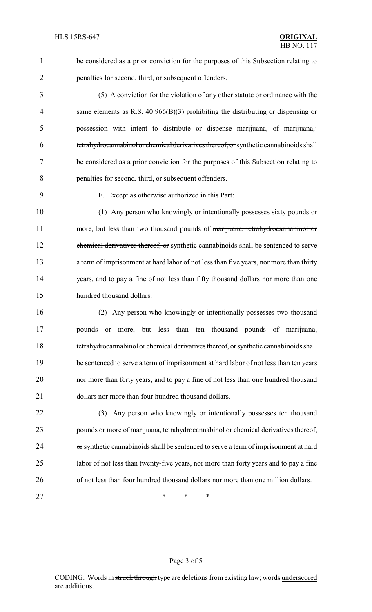1 be considered as a prior conviction for the purposes of this Subsection relating to 2 penalties for second, third, or subsequent offenders.

 (5) A conviction for the violation of any other statute or ordinance with the same elements as R.S. 40:966(B)(3) prohibiting the distributing or dispensing or 5 possession with intent to distribute or dispense marijuana, of marijuana,<sup>†</sup> tetrahydrocannabinol or chemical derivatives thereof, or synthetic cannabinoids shall be considered as a prior conviction for the purposes of this Subsection relating to penalties for second, third, or subsequent offenders.

9 F. Except as otherwise authorized in this Part:

10 (1) Any person who knowingly or intentionally possesses sixty pounds or 11 more, but less than two thousand pounds of marijuana, tetrahydrocannabinol or 12 chemical derivatives thereof, or synthetic cannabinoids shall be sentenced to serve 13 a term of imprisonment at hard labor of not less than five years, nor more than thirty 14 years, and to pay a fine of not less than fifty thousand dollars nor more than one 15 hundred thousand dollars.

 (2) Any person who knowingly or intentionally possesses two thousand **pounds** or more, but less than ten thousand pounds of marijuana, 18 tetrahydrocannabinol or chemical derivatives thereof, or synthetic cannabinoids shall be sentenced to serve a term of imprisonment at hard labor of not less than ten years nor more than forty years, and to pay a fine of not less than one hundred thousand 21 dollars nor more than four hundred thousand dollars.

22 (3) Any person who knowingly or intentionally possesses ten thousand 23 pounds or more of marijuana, tetrahydrocannabinol or chemical derivatives thereof, 24 or synthetic cannabinoids shall be sentenced to serve a term of imprisonment at hard 25 labor of not less than twenty-five years, nor more than forty years and to pay a fine 26 of not less than four hundred thousand dollars nor more than one million dollars.

27 \* \* \* \*

### Page 3 of 5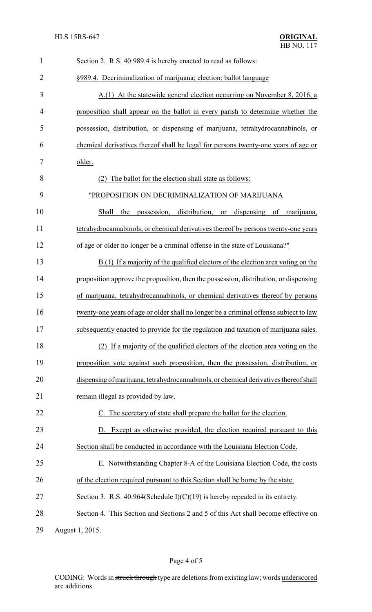| $\mathbf{1}$   | Section 2. R.S. 40:989.4 is hereby enacted to read as follows:                        |
|----------------|---------------------------------------------------------------------------------------|
| $\overline{2}$ | §989.4. Decriminalization of marijuana; election; ballot language                     |
| 3              | A.(1) At the statewide general election occurring on November 8, 2016, a              |
| $\overline{4}$ | proposition shall appear on the ballot in every parish to determine whether the       |
| 5              | possession, distribution, or dispensing of marijuana, tetrahydrocannabinols, or       |
| 6              | chemical derivatives thereof shall be legal for persons twenty-one years of age or    |
| 7              | older.                                                                                |
| 8              | (2) The ballot for the election shall state as follows:                               |
| 9              | "PROPOSITION ON DECRIMINALIZATION OF MARIJUANA                                        |
| 10             | distribution,<br>Shall<br>possession,<br>dispensing<br>the<br>of<br>or<br>marijuana,  |
| 11             | tetrahydrocannabinols, or chemical derivatives thereof by persons twenty-one years    |
| 12             | of age or older no longer be a criminal offense in the state of Louisiana?"           |
| 13             | $B(1)$ If a majority of the qualified electors of the election area voting on the     |
| 14             | proposition approve the proposition, then the possession, distribution, or dispensing |
| 15             | of marijuana, tetrahydrocannabinols, or chemical derivatives thereof by persons       |
| 16             | twenty-one years of age or older shall no longer be a criminal offense subject to law |
| 17             | subsequently enacted to provide for the regulation and taxation of marijuana sales.   |
| 18             | (2) If a majority of the qualified electors of the election area voting on the        |
| 19             | proposition vote against such proposition, then the possession, distribution, or      |
| 20             | dispensing of marijuana, tetrahydrocannabinols, or chemical derivatives thereof shall |
| 21             | remain illegal as provided by law.                                                    |
| 22             | C. The secretary of state shall prepare the ballot for the election.                  |
| 23             | D. Except as otherwise provided, the election required pursuant to this               |
| 24             | Section shall be conducted in accordance with the Louisiana Election Code.            |
| 25             | E. Notwithstanding Chapter 8-A of the Louisiana Election Code, the costs              |
| 26             | of the election required pursuant to this Section shall be borne by the state.        |
| 27             | Section 3. R.S. 40:964(Schedule $I(C)(19)$ ) is hereby repealed in its entirety.      |
| 28             | Section 4. This Section and Sections 2 and 5 of this Act shall become effective on    |
| 29             | August 1, 2015.                                                                       |